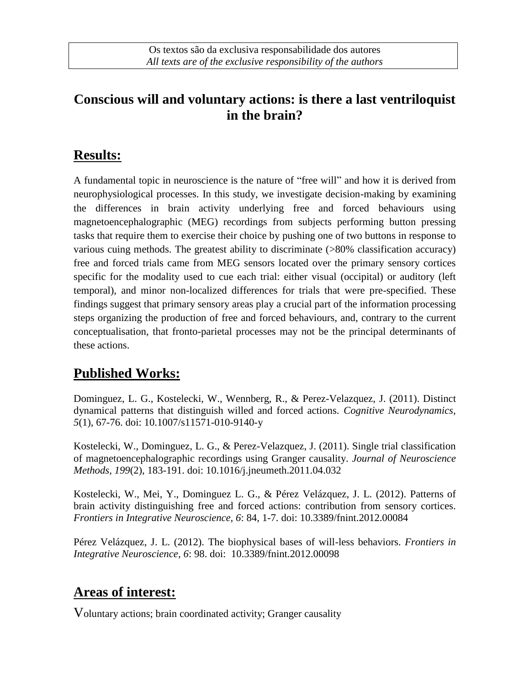#### **Conscious will and voluntary actions: is there a last ventriloquist in the brain?**

#### **Results:**

A fundamental topic in neuroscience is the nature of "free will" and how it is derived from neurophysiological processes. In this study, we investigate decision-making by examining the differences in brain activity underlying free and forced behaviours using magnetoencephalographic (MEG) recordings from subjects performing button pressing tasks that require them to exercise their choice by pushing one of two buttons in response to various cuing methods. The greatest ability to discriminate (>80% classification accuracy) free and forced trials came from MEG sensors located over the primary sensory cortices specific for the modality used to cue each trial: either visual (occipital) or auditory (left temporal), and minor non-localized differences for trials that were pre-specified. These findings suggest that primary sensory areas play a crucial part of the information processing steps organizing the production of free and forced behaviours, and, contrary to the current conceptualisation, that fronto-parietal processes may not be the principal determinants of these actions.

# **Published Works:**

Dominguez, L. G., Kostelecki, W., Wennberg, R., & Perez-Velazquez, J. (2011). Distinct dynamical patterns that distinguish willed and forced actions. *Cognitive Neurodynamics, 5*(1), 67-76. doi: 10.1007/s11571-010-9140-y

Kostelecki, W., Dominguez, L. G., & Perez-Velazquez, J. (2011). Single trial classification of magnetoencephalographic recordings using Granger causality. *Journal of Neuroscience Methods, 199*(2), 183-191. doi: 10.1016/j.jneumeth.2011.04.032

Kostelecki, W., Mei, Y., Dominguez L. G., & Pérez Velázquez, J. L. (2012). Patterns of brain activity distinguishing free and forced actions: contribution from sensory cortices. *Frontiers in Integrative Neuroscience, 6*: 84, 1-7. doi: 10.3389/fnint.2012.00084

Pérez Velázquez, J. L. (2012). The biophysical bases of will-less behaviors. *Frontiers in Integrative Neuroscience, 6*: 98. doi: 10.3389/fnint.2012.00098

# **Areas of interest:**

Voluntary actions; brain coordinated activity; Granger causality